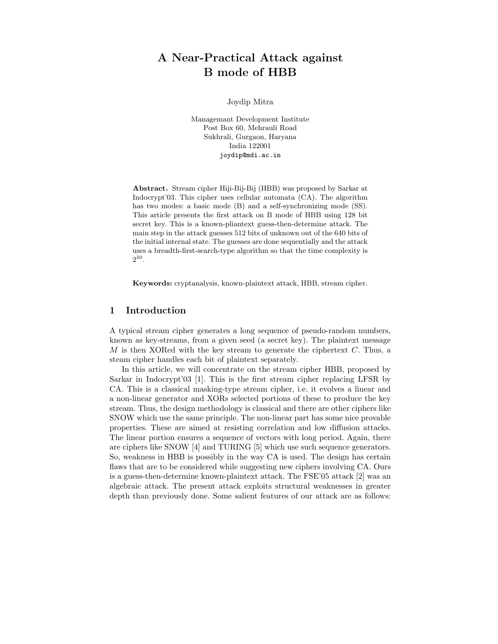# **A Near-Practical Attack against B mode of HBB**

Joydip Mitra

Managemant Development Institute Post Box 60, Mehrauli Road Sukhrali, Gurgaon, Haryana India 122001 joydip@mdi.ac.in

**Abstract.** Stream cipher Hiji-Bij-Bij (HBB) was proposed by Sarkar at Indocrypt'03. This cipher uses cellular automata (CA). The algorithm has two modes: a basic mode (B) and a self-synchronizing mode (SS). This article presents the first attack on B mode of HBB using 128 bit secret key. This is a known-pliantext guess-then-determine attack. The main step in the attack guesses 512 bits of unknown out of the 640 bits of the initial internal state. The guesses are done sequentially and the attack uses a breadth-first-search-type algorithm so that the time complexity is 2<sup>50</sup>.

**Keywords:** cryptanalysis, known-plaintext attack, HBB, stream cipher.

## **1 Introduction**

A typical stream cipher generates a long sequence of pseudo-random numbers, known as key-streams, from a given seed (a secret key). The plaintext message M is then XORed with the key stream to generate the ciphertext  $C$ . Thus, a steam cipher handles each bit of plaintext separately.

In this article, we will concentrate on the stream cipher HBB, proposed by Sarkar in Indocrypt'03 [1]. This is the first stream cipher replacing LFSR by CA. This is a classical masking-type stream cipher, i.e. it evolves a linear and a non-linear generator and XORs selected portions of these to produce the key stream. Thus, the design methodology is classical and there are other ciphers like SNOW which use the same principle. The non-linear part has some nice provable properties. These are aimed at resisting correlation and low diffusion attacks. The linear portion ensures a sequence of vectors with long period. Again, there are ciphers like SNOW [4] and TURING [5] which use such sequence generators. So, weakness in HBB is possibly in the way CA is used. The design has certain flaws that are to be considered while suggesting new ciphers involving CA. Ours is a guess-then-determine known-plaintext attack. The FSE'05 attack [2] was an algebraic attack. The present attack exploits structural weaknesses in greater depth than previously done. Some salient features of our attack are as follows: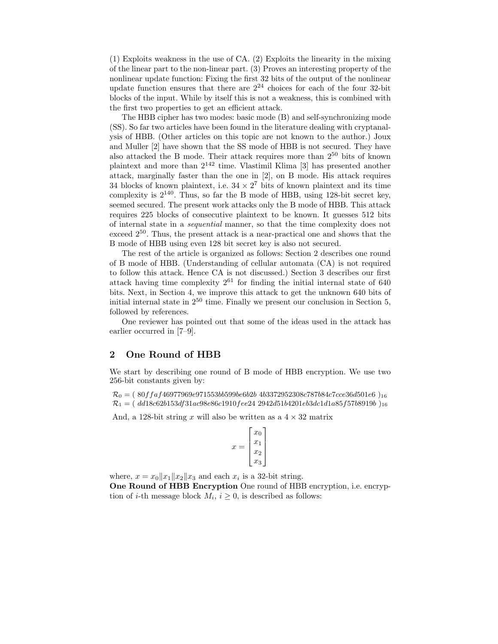(1) Exploits weakness in the use of CA. (2) Exploits the linearity in the mixing of the linear part to the non-linear part. (3) Proves an interesting property of the nonlinear update function: Fixing the first 32 bits of the output of the nonlinear update function ensures that there are  $2^{24}$  choices for each of the four 32-bit blocks of the input. While by itself this is not a weakness, this is combined with the first two properties to get an efficient attack.

The HBB cipher has two modes: basic mode (B) and self-synchronizing mode (SS). So far two articles have been found in the literature dealing with cryptanalysis of HBB. (Other articles on this topic are not known to the author.) Joux and Muller [2] have shown that the SS mode of HBB is not secured. They have also attacked the B mode. Their attack requires more than 2<sup>50</sup> bits of known plaintext and more than 2<sup>142</sup> time. Vlastimil Klima [3] has presented another attack, marginally faster than the one in [2], on B mode. His attack requires 34 blocks of known plaintext, i.e.  $34 \times 2^7$  bits of known plaintext and its time complexity is  $2^{140}$ . Thus, so far the B mode of HBB, using 128-bit secret key, seemed secured. The present work attacks only the B mode of HBB. This attack requires 225 blocks of consecutive plaintext to be known. It guesses 512 bits of internal state in a *sequential* manner, so that the time complexity does not exceed 2<sup>50</sup>. Thus, the present attack is a near-practical one and shows that the B mode of HBB using even 128 bit secret key is also not secured.

The rest of the article is organized as follows: Section 2 describes one round of B mode of HBB. (Understanding of cellular automata (CA) is not required to follow this attack. Hence CA is not discussed.) Section 3 describes our first attack having time complexity  $2^{61}$  for finding the initial internal state of 640 bits. Next, in Section 4, we improve this attack to get the unknown 640 bits of initial internal state in  $2^{50}$  time. Finally we present our conclusion in Section 5, followed by references.

One reviewer has pointed out that some of the ideas used in the attack has earlier occurred in [7–9].

## **2 One Round of HBB**

We start by describing one round of B mode of HBB encryption. We use two 256-bit constants given by:

 $\mathcal{R}_0 = (80ffafa6977969e971553b\ddot{b}599b\acute{e}6b2b\ 4b3372952308c787b84c7cce36d501e6)_{16}$  $R_1 = (dd18c62b153df31ac98e86c1910fee242942d51b4201eb3dc1d1a85f57b8919b)_{16}$ 

And, a 128-bit string x will also be written as a  $4 \times 32$  matrix

$$
x = \begin{bmatrix} x_0 \\ x_1 \\ x_2 \\ x_3 \end{bmatrix}
$$

where,  $x = x_0 ||x_1||x_2||x_3$  and each  $x_i$  is a 32-bit string. **One Round of HBB Encryption** One round of HBB encryption, i.e. encryption of *i*-th message block  $M_i$ ,  $i \geq 0$ , is described as follows: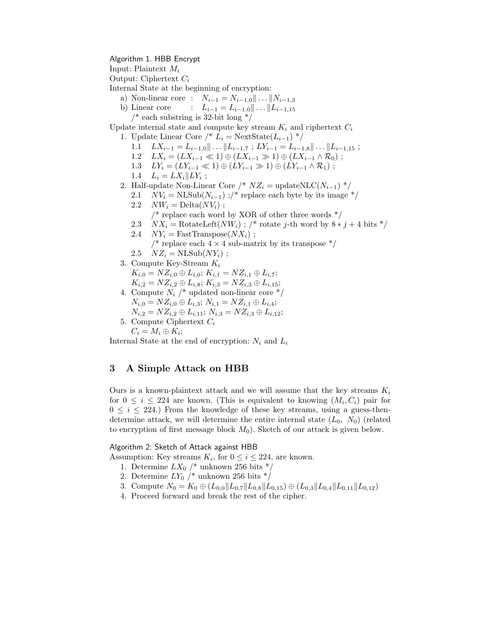#### Algorithm 1. HBB Encrypt

Input: Plaintext <sup>M</sup>*<sup>i</sup>*

Output: Ciphertext <sup>C</sup>*<sup>i</sup>*

Internal State at the beginning of encryption:

- a) Non-linear core :  $N_{i-1} = N_{i-1,0} || \dots || N_{i-1,3}$ <br>b) Linear core :  $L_{i-1} = L_{i-1,0} || \dots || L_{i-1,15}$
- :  $L_{i-1} = L_{i-1,0} || \ldots || L_{i-1,15}$  $\frac{1}{2}$  each substring is 32-bit long  $\frac{1}{2}$

Update internal state and compute key stream  $K_i$  and ciphertext  $C_i$ 

- 1. Update Linear Core /\*  $L_i = \text{NextState}(L_{i-1})$  \*/<br>1.1  $LX_{i-1} = L_{i-1,0} || \dots || L_{i-1,7}$ ;  $LY_{i-1} = L_{i-1}$ 
	- 1.1  $LX_{i-1} = L_{i-1,0} || \dots || L_{i-1,7} ; LY_{i-1} = L_{i-1,8} || \dots || L_{i-1,15} ;$ <br>
	1.2  $LX_i = (LX_{i-1} \ll 1) \oplus (LX_{i-1} \gg 1) \oplus (LX_{i-1} \wedge \mathcal{R}_0) ;$
	- 1.2  $LX_i = (LX_{i-1} \ll 1) \oplus (LX_{i-1} \gg 1) \oplus (LX_{i-1} \land \mathcal{R}_0)$ ;<br>1.3  $LY_i = (LY_{i-1} \ll 1) \oplus (LY_{i-1} \gg 1) \oplus (LY_{i-1} \land \mathcal{R}_1)$ ;
	- 1.3  $LY_i = (LY_{i-1} \ll 1) \oplus (LY_{i-1} \gg 1) \oplus (LY_{i-1} \wedge \mathcal{R}_1);$ <br>1.4  $L_i = LX_i||LY_i;$
	- $L_i = LX_i || LY_i ;$
- 2. Half-update Non-Linear Core /\*  $NZ_i$  = updateNLC( $N_{i-1}$ ) \*/<br>2.1  $NV_i$  = NLSub( $N_{i-1}$ ) :/\* replace each byte by its image
	- 2.1  $NV_i = \text{NLSub}(N_{i-1})$ ;/\* replace each byte by its image \*/<br>2.2  $NW_i = \text{Delta}(NV_i)$ :  $NW_i = \text{Delta}(NV_i)$ ;
		- $\text{/}^*$  replace each word by XOR of other three words  $\text{*}/$
	- 2.3  $NX_i = \text{RotateLeft}(NW_i)$ ; /\* rotate *j*-th word by  $8 * j + 4$  bits \*/<br>2.4  $NY_i = \text{FastTranspose}(NX_i)$ :
	- $NY_i = \text{FastTranspose}(NX_i)$ ;
		- /\* replace each  $4 \times 4$  sub-matrix by its transpose  $\frac{*}{ }$
- 2.5  $NZ_i = \text{NLSub}(NY_i)$ ;
- 3. Compute Key-Stream <sup>K</sup>*<sup>i</sup>*
	- $K_{i,0} = NZ_{i,0} \oplus L_{i,0}; K_{i,1} = NZ_{i,1} \oplus L_{i,7};$  $K_{i,2} = NZ_{i,2} \oplus L_{i,8}$ ;  $K_{i,3} = NZ_{i,3} \oplus L_{i,15}$ ;
- 4. Compute  $N_i$  /\* updated non-linear core \*/
- $N_{i,0} = NZ_{i,0} \oplus L_{i,3}; N_{i,1} = NZ_{i,1} \oplus L_{i,4};$  $N_{i,2} = NZ_{i,2} \oplus L_{i,11}$ ;  $N_{i,3} = NZ_{i,3} \oplus L_{i,12}$ ;
- 5. Compute Ciphertext <sup>C</sup>*<sup>i</sup>*  $C_i = M_i \oplus K_i;$

Internal State at the end of encryption: <sup>N</sup>*<sup>i</sup>* and <sup>L</sup>*<sup>i</sup>*

## **3 A Simple Attack on HBB**

Ours is a known-plaintext attack and we will assume that the key streams  $K_i$ for  $0 \leq i \leq 224$  are known. (This is equivalent to knowing  $(M_i, C_i)$  pair for  $0 \leq i \leq 224$ .) From the knowledge of these key streams, using a guess-thendetermine attack, we will determine the entire internal state  $(L_0, N_0)$  (related to encryption of first message block  $M_0$ ). Sketch of our attack is given below.

#### Algorithm 2: Sketch of Attack against HBB

Assumption: Key streams  $K_i$ , for  $0 \leq i \leq 224$ , are known.

- 1. Determine  $LX_0$  /\* unknown 256 bits \*/
- 2. Determine  $LY_0$  /\* unknown 256 bits \*/
- 3. Compute  $N_0 = K_0 \oplus (L_{0,0} || L_{0,7} || L_{0,8} || L_{0,15}) \oplus (L_{0,3} || L_{0,4} || L_{0,11} || L_{0,12})$
- 4. Proceed forward and break the rest of the cipher.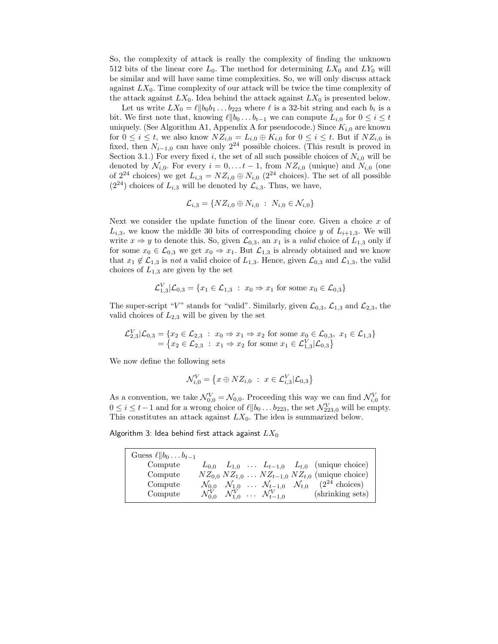So, the complexity of attack is really the complexity of finding the unknown 512 bits of the linear core  $L_0$ . The method for determining  $LX_0$  and  $LY_0$  will be similar and will have same time complexities. So, we will only discuss attack against  $LX_0$ . Time complexity of our attack will be twice the time complexity of the attack against  $LX_0$ . Idea behind the attack against  $LX_0$  is presented below.

Let us write  $LX_0 = \ell ||b_0b_1 \ldots b_{223}$  where  $\ell$  is a 32-bit string and each  $b_i$  is a bit. We first note that, knowing  $\ell || b_0 \ldots b_{t-1}$  we can compute  $L_{i,0}$  for  $0 \leq i \leq t$ uniquely. (See Algorithm A1, Appendix A for pseudocode.) Since  $K_{i,0}$  are known for  $0 \leq i \leq t$ , we also know  $NZ_{i,0} = L_{i,0} \oplus K_{i,0}$  for  $0 \leq i \leq t$ . But if  $NZ_{i,0}$  is fixed, then  $N_{i-1,0}$  can have only  $2^{24}$  possible choices. (This result is proved in Section 3.1.) For every fixed i, the set of all such possible choices of  $N_{i,0}$  will be denoted by  $\mathcal{N}_{i,0}$ . For every  $i = 0, \ldots t - 1$ , from  $NZ_{i,0}$  (unique) and  $N_{i,0}$  (one of  $2^{24}$  choices) we get  $L_{i,3} = NZ_{i,0} \oplus N_{i,0}$  ( $2^{24}$  choices). The set of all possible  $(2^{24})$  choices of  $L_{i,3}$  will be denoted by  $\mathcal{L}_{i,3}$ . Thus, we have,

$$
\mathcal{L}_{i,3} = \{ NZ_{i,0} \oplus N_{i,0} : N_{i,0} \in \mathcal{N}_{i,0} \}
$$

Next we consider the update function of the linear core. Given a choice  $x$  of  $L_{i,3}$ , we know the middle 30 bits of corresponding choice y of  $L_{i+1,3}$ . We will write  $x \Rightarrow y$  to denote this. So, given  $\mathcal{L}_{0,3}$ , an  $x_1$  is a *valid* choice of  $L_{1,3}$  only if for some  $x_0 \in \mathcal{L}_{0,3}$  we get  $x_0 \Rightarrow x_1$ . But  $\mathcal{L}_{1,3}$  is already obtained and we know that  $x_1 \notin \mathcal{L}_{1,3}$  is *not* a valid choice of  $L_{1,3}$ . Hence, given  $\mathcal{L}_{0,3}$  and  $\mathcal{L}_{1,3}$ , the valid choices of  $L_{1,3}$  are given by the set

$$
\mathcal{L}_{1,3}^V|\mathcal{L}_{0,3} = \{x_1 \in \mathcal{L}_{1,3} : x_0 \Rightarrow x_1 \text{ for some } x_0 \in \mathcal{L}_{0,3}\}\
$$

The super-script "V" stands for "valid". Similarly, given  $\mathcal{L}_{0,3}$ ,  $\mathcal{L}_{1,3}$  and  $\mathcal{L}_{2,3}$ , the valid choices of  $L_{2,3}$  will be given by the set

$$
\mathcal{L}_{2,3}^V|\mathcal{L}_{0,3} = \{x_2 \in \mathcal{L}_{2,3} : x_0 \Rightarrow x_1 \Rightarrow x_2 \text{ for some } x_0 \in \mathcal{L}_{0,3}, x_1 \in \mathcal{L}_{1,3}\} \\
= \{x_2 \in \mathcal{L}_{2,3} : x_1 \Rightarrow x_2 \text{ for some } x_1 \in \mathcal{L}_{1,3}^V|\mathcal{L}_{0,3}\}
$$

We now define the following sets

$$
\mathcal{N}_{i,0}^V = \left\{ x \oplus NZ_{i,0} \ : \ x \in \mathcal{L}_{i,3}^V | \mathcal{L}_{0,3} \right\}
$$

As a convention, we take  $\mathcal{N}_{0,0}^V = \mathcal{N}_{0,0}$ . Proceeding this way we can find  $\mathcal{N}_{i,0}^V$  for  $0 \leq i \leq t-1$  and for a wrong choice of  $\ell || b_0 \dots b_{223}$ , the set  $\mathcal{N}_{23,0}^V$  will be empty.<br>This constitutes an attack against  $I.X_0$ . The idea is summarized below. This constitutes an attack against  $LX_0$ . The idea is summarized below.

Algorithm 3: Idea behind first attack against  $LX_0$ 

| Guess $\ell    b_0 \dots b_{t-1}$ |           |  |                                                                                   |                                                               |
|-----------------------------------|-----------|--|-----------------------------------------------------------------------------------|---------------------------------------------------------------|
| Compute                           | $L_{0.0}$ |  |                                                                                   | $L_{1,0}$ $L_{t-1,0}$ $L_{t,0}$ (unique choice)               |
| Compute                           |           |  |                                                                                   | $NZ_{0,0}$ $NZ_{1,0}$ $NZ_{t-1,0}$ $NZ_{t,0}$ (unique choice) |
| Compute                           |           |  | $\mathcal{N}_{0,0}$ $\mathcal{N}_{1,0}$ $\mathcal{N}_{t-1,0}$ $\mathcal{N}_{t,0}$ | $(2^{24}$ choices)                                            |
| Compute                           |           |  | $\mathcal{N}_{0.0}^V$ $\mathcal{N}_{1.0}^V$ $\mathcal{N}_{t-1.0}^V$               | (shrinking sets)                                              |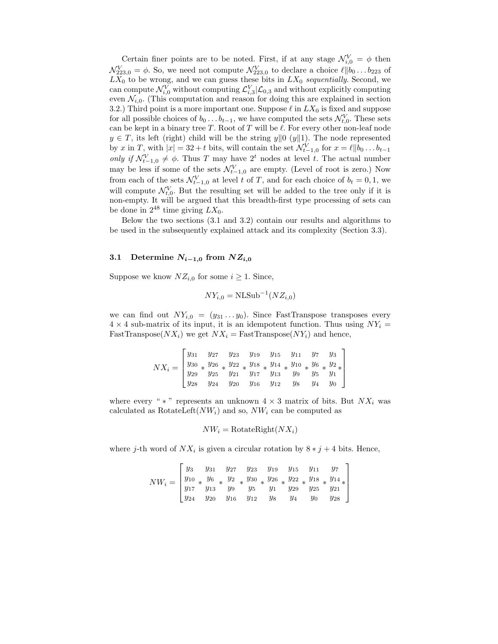Certain finer points are to be noted. First, if at any stage  $\mathcal{N}_{i,0}^V = \phi$  then  $\phi_i = \phi$  is a set of a *i*<sup>1</sup> to declare a shaire <sup>*i*<sub>1</sub></sup> i<sub>b</sub>  $\mathcal{N}_{223,0}^{V} = \phi$ . So, we need not compute  $\mathcal{N}_{223,0}^{V}$  to declare a choice  $\ell || b_0 \dots b_{223}$  of  $L X_2$  to be wrong and we can guess these bits in  $L X_2$  *sequentially* Second we  $LX_0$  to be wrong, and we can guess these bits in  $LX_0$  *sequentially*. Second, we can compute  $\mathcal{N}_{i,0}^V$  without computing  $\mathcal{L}_{i,3}^V|\mathcal{L}_{0,3}$  and without explicitly computing even  $\mathcal{N}_{i,0}$ . (This computation and reason for doing this are explained in section 3.2.) Third point is a more important one. Suppose  $\ell$  in  $LX_0$  is fixed and suppose for all possible choices of  $b_0 \tldots b_{t-1}$ , we have computed the sets  $\mathcal{N}_{t,0}^V$ . These sets can be kept in a binary tree  $T$ . Boot of  $T$  will be  $\ell$ . For every other pop-leaf pode can be kept in a binary tree  $T$ . Root of  $T$  will be  $\ell$ . For every other non-leaf node  $y \in T$ , its left (right) child will be the string y||0 (y||1). The node represented by x in T, with  $|x| = 32 + t$  bits, will contain the set  $\mathcal{N}_{t-1,0}^V$  for  $x = \ell || b_0 \dots b_{t-1}$ <br>contain the set  $\mathcal{N}_{t-1}^V$  for  $\ell$  is a set of the set of product the set of product the set of product the set of product *only if*  $\mathcal{N}_{t-1,0}^V \neq \phi$ . Thus T may have 2<sup>*t*</sup> nodes at level *t*. The actual number may be less if some of the sets  $\mathcal{N}_{t-1,0}^V$  are empty. (Level of root is zero.) Now from each of the sets  $\mathcal{N}_{t-1,0}^V$  at level t of T, and for each choice of  $b_t = 0, 1$ , we will compute  $\mathcal{N}_t^V$ . But the resulting set will be added to the tree only if it is will compute  $\mathcal{N}_{t,0}^V$ . But the resulting set will be added to the tree only if it is non-empty. It will be argued that this breadth-first type processing of sets can be done in  $2^{48}$  time giving  $LX_0$ .

Below the two sections (3.1 and 3.2) contain our results and algorithms to be used in the subsequently explained attack and its complexity (Section 3.3).

#### **3.1** Determine  $N_{i-1,0}$  from  $NZ_{i,0}$

Suppose we know  $NZ_{i,0}$  for some  $i \geq 1$ . Since,

$$
NY_{i,0} = \text{NLSub}^{-1}(NZ_{i,0})
$$

we can find out  $NY_{i,0} = (y_{31} \dots y_0)$ . Since FastTranspose transposes every  $4 \times 4$  sub-matrix of its input, it is an idempotent function. Thus using  $NY_i =$ FastTranspose( $NX_i$ ) we get  $NX_i = FastTranspose(NY_i)$  and hence,

$$
NX_i = \begin{bmatrix} y_{31} & y_{27} & y_{23} & y_{19} & y_{15} & y_{11} & y_{7} & y_{3} \ y_{30} & * y_{26} & * y_{22} & * y_{18} & * y_{14} & * y_{10} & * y_{6} & * y_{2} \ y_{29} & y_{25} & y_{21} & y_{17} & y_{13} & y_{9} & y_{5} & y_{1} \ y_{28} & y_{24} & y_{20} & y_{16} & y_{12} & y_{8} & y_{4} & y_{0} \end{bmatrix}
$$

where every "  $\ast$ " represents an unknown  $4 \times 3$  matrix of bits. But  $NX_i$  was calculated as  $RotateLeft(NW_i)$  and so,  $NW_i$  can be computed as

$$
NW_i = \text{RotateRight}(NX_i)
$$

where j-th word of  $NX_i$  is given a circular rotation by  $8 * j + 4$  bits. Hence,

$$
NW_i = \begin{bmatrix} y_3 & y_{31} & y_{27} & y_{23} & y_{19} & y_{15} & y_{11} & y_{7} \\ y_{10} & y_{6} & y_{2} & y_{30} & y_{26} & y_{22} & y_{18} & y_{14} \\ y_{17} & y_{13} & y_{9} & y_{5} & y_{1} & y_{29} & y_{25} & y_{21} \\ y_{24} & y_{20} & y_{16} & y_{12} & y_{8} & y_{4} & y_{0} & y_{28} \end{bmatrix}
$$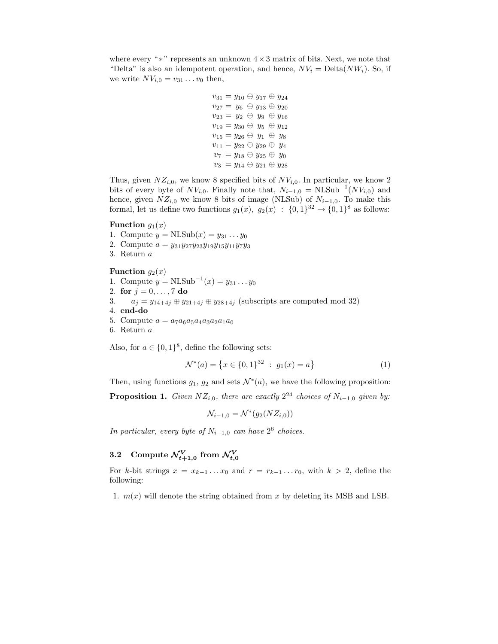where every " $\ast$ " represents an unknown  $4 \times 3$  matrix of bits. Next, we note that "Delta" is also an idempotent operation, and hence,  $NV_i = \text{Delta}(NW_i)$ . So, if we write  $NV_{i,0} = v_{31} \ldots v_0$  then,

$$
v_{31} = y_{10} \oplus y_{17} \oplus y_{24}
$$
  
\n
$$
v_{27} = y_6 \oplus y_{13} \oplus y_{20}
$$
  
\n
$$
v_{23} = y_2 \oplus y_9 \oplus y_{16}
$$
  
\n
$$
v_{19} = y_{30} \oplus y_5 \oplus y_{12}
$$
  
\n
$$
v_{15} = y_{26} \oplus y_1 \oplus y_8
$$
  
\n
$$
v_{11} = y_{22} \oplus y_{29} \oplus y_4
$$
  
\n
$$
v_7 = y_{18} \oplus y_{25} \oplus y_0
$$
  
\n
$$
v_3 = y_{14} \oplus y_{21} \oplus y_{28}
$$

Thus, given  $NZ_{i,0}$ , we know 8 specified bits of  $NV_{i,0}$ . In particular, we know 2 bits of every byte of  $NV_{i,0}$ . Finally note that,  $N_{i-1,0} = NLSub^{-1}(NV_{i,0})$  and hence, given  $NZ_{i,0}$  we know 8 bits of image (NLSub) of  $N_{i-1,0}$ . To make this formal, let us define two functions  $g_1(x)$ ,  $g_2(x)$ :  $\{0,1\}^{32} \rightarrow \{0,1\}^8$  as follows:

#### **Function**  $q_1(x)$

- 1. Compute  $y = \text{NLSub}(x) = y_{31} \dots y_0$
- 2. Compute  $a = y_{31}y_{27}y_{23}y_{19}y_{15}y_{11}y_7y_3$
- 3. Return a

#### **Function**  $g_2(x)$

- 1. Compute  $y = \text{NLSub}^{-1}(x) = y_{31} \dots y_0$
- 2. **for**  $j = 0, ..., 7$  **do**<br>3.  $a_j = y_{14+4j} \oplus y_2$
- $a_j = y_{14+4j} \oplus y_{21+4j} \oplus y_{28+4j}$  (subscripts are computed mod 32)
- 4. **end-do**
- 5. Compute  $a = a_7a_6a_5a_4a_3a_2a_1a_0$
- 6. Return a

Also, for  $a \in \{0,1\}^8$ , define the following sets:

$$
\mathcal{N}^*(a) = \left\{ x \in \{0, 1\}^{32} \; : \; g_1(x) = a \right\} \tag{1}
$$

Then, using functions  $g_1, g_2$  and sets  $\mathcal{N}^*(a)$ , we have the following proposition:

**Proposition 1.** *Given*  $NZ_{i,0}$ *, there are exactly*  $2^{24}$  *choices of*  $N_{i-1,0}$  *given by:* 

 $\mathcal{N}_{i-1,0} = \mathcal{N}^*(g_2(NZ_{i,0}))$ 

*In particular, every byte of*  $N_{i-1,0}$  *can have*  $2^6$  *choices.* 

## $\mathcal{N}_{t+1,0}^V \text{ from } \mathcal{N}_{t,0}^V$

For k-bit strings  $x = x_{k-1} \ldots x_0$  and  $r = r_{k-1} \ldots r_0$ , with  $k > 2$ , define the following:

1.  $m(x)$  will denote the string obtained from x by deleting its MSB and LSB.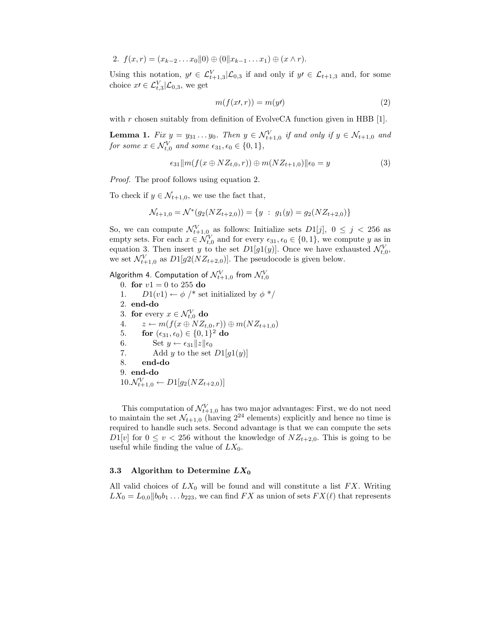2.  $f(x,r)=(x_{k-2} \ldots x_0\|0) \oplus (0\|x_{k-1} \ldots x_1) \oplus (x \wedge r).$ 

Using this notation,  $y' \in \mathcal{L}_{t+1,3}^V | \mathcal{L}_{0,3}$  if and only if  $y' \in \mathcal{L}_{t+1,3}$  and, for some choice  $\mathcal{L}_{t} \subset \mathcal{L}_{t}^V | \mathcal{L}_{t}$ choice  $x \in \mathcal{L}_{t,3}^V | \mathcal{L}_{0,3}$ , we get

$$
m(f(x, r)) = m(yt)
$$
\n(2)

with  $r$  chosen suitably from definition of EvolveCA function given in HBB [1].

**Lemma 1.** *Fix*  $y = y_{31} \dots y_0$ . Then  $y \in \mathcal{N}_{t+1,0}$  *if and only if*  $y \in \mathcal{N}_{t+1,0}$  *and* for some  $x \in \mathcal{N}_{t+1}$  and  $y \in \mathcal{N}_{t+1}$ *for some*  $x \in \mathcal{N}_{t,0}^V$  *and some*  $\epsilon_{31}, \epsilon_0 \in \{0,1\}$ *,* 

$$
\epsilon_{31} \| m(f(x \oplus NZ_{t,0}, r)) \oplus m(NZ_{t+1,0}) \| \epsilon_0 = y \tag{3}
$$

*Proof.* The proof follows using equation 2.

To check if  $y \in \mathcal{N}_{t+1,0}$ , we use the fact that,

$$
\mathcal{N}_{t+1,0} = \mathcal{N}^*(g_2(NZ_{t+2,0})) = \{y : g_1(y) = g_2(NZ_{t+2,0})\}
$$

So, we can compute  $\mathcal{N}_{t+1,0}^V$  as follows: Initialize sets  $D1[j], 0 \le j < 256$  as empty sets. For each  $x \in \mathcal{N}_{t,0}^V$  and for every  $\epsilon_{31}, \epsilon_0 \in \{0,1\}$ , we compute y as in countion 3. Then insert y to the set  $D1[a1(y)]$  Once we have exhausted  $\mathcal{N}^V$ equation 3. Then insert y to the set  $D1[g1(y)]$ . Once we have exhausted  $\mathcal{N}_{t,0}^V$ , we set  $\mathcal{N}_{t+1,0}^{V}$  as  $D1[g2(NZ_{t+2,0})]$ . The pseudocode is given below.

Algorithm 4. Computation of  $\mathcal{N}_{t+1,0}^{V}$  from  $\mathcal{N}_{t,0}^{V}$ 

0. **for**  $v1 = 0$  to 255 **do**<br>1.  $D1(v1) \leftarrow \phi$  /\* set  $D1(v1) \leftarrow \phi$  /\* set initialized by  $\phi$  \*/ 2. **end-do** 3. **for** every  $x \in \mathcal{N}_{t,0}^V$  **do**<br>*A*  $z \leftarrow m$  *f*  $(x \oplus NZ)$ . 4.  $z \leftarrow m(f(x \oplus NZ_{t,0}, r)) \oplus m(NZ_{t+1,0})$ <br>5. **for**  $(\epsilon_{31}, \epsilon_0) \in \{0, 1\}^2$  do 5. **for**  $(\epsilon_{31}, \epsilon_0) \in \{0, 1\}^2$  **do**<br>6. Set  $y \leftarrow \epsilon_{31} ||z|| \epsilon_0$ 6. Set  $y \leftarrow \epsilon_{31} ||z|| \epsilon_0$ <br>7. Add y to the set 7. Add y to the set  $D1[g1(y)]$ <br>8. **end-do** 8. **end-do** 9. **end-do**  $10.\mathcal{N}_{t+1,0}^V \leftarrow D1[g_2(NZ_{t+2,0})]$ 

This computation of  $\mathcal{N}_{t+1,0}^V$  has two major advantages: First, we do not need to maintain the set  $\mathcal{N}_{t+1,0}$  (having  $2^{24}$  elements) explicitly and hence no time is required to handle such sets. Second advantage is that we can compute the sets  $D1[v]$  for  $0 \le v < 256$  without the knowledge of  $NZ_{t+2,0}$ . This is going to be useful while finding the value of  $LX_0$ .

#### **3.3 Algorithm to Determine** *LX***<sup>0</sup>**

All valid choices of  $LX_0$  will be found and will constitute a list  $FX$ . Writing  $LX_0 = L_{0,0} || b_0 b_1 \dots b_{223}$ , we can find  $FX$  as union of sets  $FX(\ell)$  that represents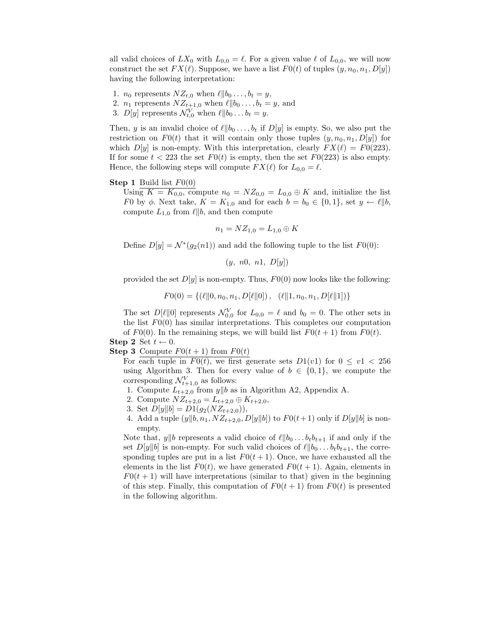all valid choices of  $LX_0$  with  $L_{0,0} = \ell$ . For a given value  $\ell$  of  $L_{0,0}$ , we will now construct the set  $FX(\ell)$ . Suppose, we have a list  $F0(t)$  of tuples  $(y, n_0, n_1, D[y])$ having the following interpretation:

- 1.  $n_0$  represents  $NZ_{t,0}$  when  $\ell || b_0 \ldots, b_t = y$ ,
- 2.  $n_1$  represents  $NZ_{t+1,0}$  when  $\ell || b_0 \ldots, b_t = y$ , and
- 3.  $D[y]$  represents  $\mathcal{N}_{t,0}^V$  when  $\ell || b_0 \dots b_t = y$ .

Then, y is an invalid choice of  $\ell || b_0 \ldots, b_t$  if  $D[y]$  is empty. So, we also put the restriction on  $F0(t)$  that it will contain only those tuples  $(y, n_0, n_1, D[y])$  for which  $D[y]$  is non-empty. With this interpretation, clearly  $FX(\ell) = F0(223)$ . If for some  $t < 223$  the set  $F(0)$  is empty, then the set  $F(0)$  is also empty. Hence, the following steps will compute  $FX(\ell)$  for  $L_{0,0} = \ell$ .

#### **Step 1** Build list  $F0(0)$

Using  $K = K_{0,0}$ , compute  $n_0 = NZ_{0,0} = L_{0,0} \oplus K$  and, initialize the list F0 by  $\phi$ . Next take,  $K = K_{1,0}$  and for each  $b = b_0 \in \{0,1\}$ , set  $y \leftarrow \ell ||b$ , compute  $L_{1,0}$  from  $\ell \| b$ , and then compute

$$
n_1 = NZ_{1,0} = L_{1,0} \oplus K
$$

Define  $D[y] = \mathcal{N}^*(g_2(n1))$  and add the following tuple to the list  $F0(0)$ :

$$
(y, n0, n1, D[y])
$$

provided the set  $D[y]$  is non-empty. Thus,  $F(0(0))$  now looks like the following:

 $F0(0) = \{(\ell \| 0, n_0, n_1, D[\ell \| 0]), \ (\ell \| 1, n_0, n_1, D[\ell \| 1])\}$ 

The set  $D[\ell]$  p represents  $\mathcal{N}_{0,0}^V$  for  $L_{0,0} = \ell$  and  $b_0 = 0$ . The other sets in the list  $F(0,0)$  has similar interpretations. This completes our computation the list  $F(0(0))$  has similar interpretations. This completes our computation of  $F(0(0))$ . In the remaining steps, we will build list  $F(0(t+1))$  from  $F(0(t))$ .

**Step 2** Set  $t \leftarrow 0$ .

**Step 3** Compute  $F0(t+1)$  from  $F0(t)$ 

For each tuple in  $F0(t)$ , we first generate sets  $D1(v1)$  for  $0 \le v1 < 256$ using Algorithm 3. Then for every value of  $b \in \{0,1\}$ , we compute the corresponding  $\mathcal{N}_{t+1,0}^V$  as follows:

- 1. Compute  $L_{t+2,0}$  from  $y||b$  as in Algorithm A2, Appendix A.<br>2. Compute  $NZ_{t+2,0} = L_{t+2,0} \oplus K_{t+2,0}$ .
- 2. Compute  $NZ_{t+2,0} = L_{t+2,0} \oplus K_{t+2,0}$ ,<br>3. Set  $D[y||b] = D1(g_0(NZ_{t+2,0}))$
- 3. Set  $D[y||b] = D1(g_2(NZ_{t+2,0})),$
- 4. Add a tuple  $(y||b, n_1, NZ_{t+2,0}, D[y||b])$  to  $F0(t+1)$  only if  $D[y||b]$  is nonempty.

Note that,  $y||b$  represents a valid choice of  $\ell || b_0 \ldots b_t b_{t+1}$  if and only if the set  $D[y||b]$  is non-empty. For such valid choices of  $\ell || b_0 \dots b_t b_{t+1}$ , the corresponding tuples are put in a list  $F0(t + 1)$ . Once, we have exhausted all the elements in the list  $F0(t)$ , we have generated  $F0(t + 1)$ . Again, elements in  $F(0(t+1))$  will have interpretations (similar to that) given in the beginning of this step. Finally, this computation of  $F0(t + 1)$  from  $F0(t)$  is presented in the following algorithm.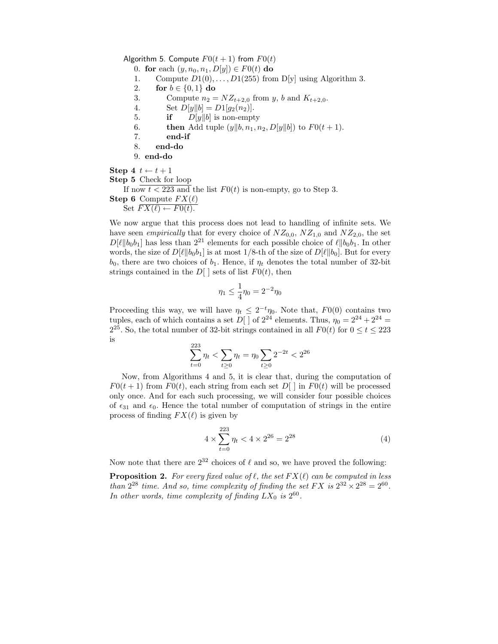Algorithm 5. Compute  $F0(t + 1)$  from  $F0(t)$ 

- 0. **for** each  $(y, n_0, n_1, D[y]) \in F0(t)$  **do**<br>1. Compute  $D1(0), ..., D1(255)$  from
- 1. Compute  $D_1(0),...,D_1(255)$  from D[y] using Algorithm 3.<br>2. for  $b \in \{0,1\}$  do
- 2. **for**  $b \in \{0, 1\}$  **do**<br>3. Compute  $n_2 =$
- 3. Compute  $n_2 = NZ_{t+2,0}$  from y, b and  $K_{t+2,0}$ .<br>4. Set  $D[u||b] = D1[a_2(n_2)]$ .
- 4. Set  $D[y||b] = D1[g_2(n_2)].$ <br>5. **if**  $D[y||b]$  is non-empt
- 5. **if**  $D[y||b]$  is non-empty<br>6. **then** Add tuple  $(y||b, n_1, n_2)$
- 6. **then** Add tuple  $(y||b, n_1, n_2, D[y||b])$  to  $F0(t + 1)$ .<br>7. **end-if**
- 7. **end-if**
- 8. **end-do**
- 9. **end-do**
- **Step 4**  $t \leftarrow t + 1$
- **Step 5** Check for loop

If now  $t < 223$  and the list  $F0(t)$  is non-empty, go to Step 3.

- **Step 6** Compute  $FX(\ell)$ 
	- Set  $\overline{FX(\ell)} \leftarrow F0(t)$ .

We now argue that this process does not lead to handling of infinite sets. We have seen *empirically* that for every choice of  $NZ_{0,0}$ ,  $NZ_{1,0}$  and  $NZ_{2,0}$ , the set  $D[\ell||b_0b_1]$  has less than  $2^{21}$  elements for each possible choice of  $\ell||b_0b_1$ . In other words, the size of  $D[\ell||b_0b_1]$  is at most 1/8-th of the size of  $D[\ell||b_0]$ . But for every  $b_0$ , there are two choices of  $b_1$ . Hence, if  $\eta_t$  denotes the total number of 32-bit strings contained in the  $D[$  sets of list  $F0(t)$ , then

$$
\eta_1 \le \frac{1}{4} \eta_0 = 2^{-2} \eta_0
$$

Proceeding this way, we will have  $\eta_t \leq 2^{-t} \eta_0$ . Note that,  $F(0)$  contains two tuples each of which contains a set  $D[1]$  of  $2^{24}$  elements. Thus  $n_0 = 2^{24} + 2^{24}$ tuples, each of which contains a set  $D[ \ ]$  of  $2^{24}$  elements. Thus,  $\eta_0 = 2^{24} + 2^{24} =$  $2^{25}$ . So, the total number of 32-bit strings contained in all  $F0(t)$  for  $0 \le t \le 223$ is

$$
\sum_{t=0}^{223} \eta_t < \sum_{t \ge 0} \eta_t = \eta_0 \sum_{t \ge 0} 2^{-2t} < 2^{26}
$$

Now, from Algorithms 4 and 5, it is clear that, during the computation of  $F0(t + 1)$  from  $F0(t)$ , each string from each set  $D[\ ]$  in  $F0(t)$  will be processed only once. And for each such processing, we will consider four possible choices of  $\epsilon_{31}$  and  $\epsilon_0$ . Hence the total number of computation of strings in the entire process of finding  $FX(\ell)$  is given by

$$
4 \times \sum_{t=0}^{223} \eta_t < 4 \times 2^{26} = 2^{28} \tag{4}
$$

Now note that there are  $2^{32}$  choices of  $\ell$  and so, we have proved the following:

**Proposition 2.** For every fixed value of  $\ell$ , the set  $FX(\ell)$  can be computed in less *than*  $2^{28}$  *time. And so, time complexity of finding the set*  $FX$  *is*  $2^{32} \times 2^{28} = 2^{60}$ *. In other words, time complexity of finding*  $LX_0$  *is*  $2^{60}$ *.*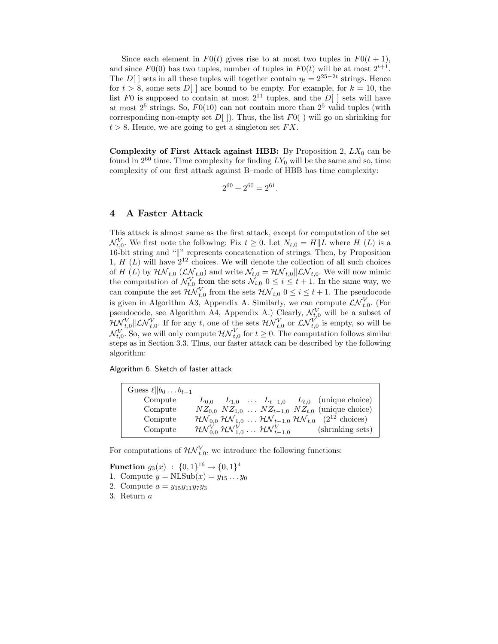Since each element in  $F0(t)$  gives rise to at most two tuples in  $F0(t + 1)$ , and since  $F0(0)$  has two tuples, number of tuples in  $F0(t)$  will be at most  $2^{t+1}$ . The D[ ] sets in all these tuples will together contain  $\eta_t = 2^{25-2t}$  strings. Hence for  $t > 8$ , some sets D[] are bound to be empty. For example, for  $k = 10$ , the list F0 is supposed to contain at most  $2^{11}$  tuples, and the D[ ] sets will have at most  $2^5$  strings. So,  $F(10)$  can not contain more than  $2^5$  valid tuples (with corresponding non-empty set  $D[$ ]). Thus, the list  $F(0)$  will go on shrinking for  $t > 8$ . Hence, we are going to get a singleton set  $FX$ .

**Complexity of First Attack against HBB:** By Proposition 2,  $LX_0$  can be found in  $2^{60}$  time. Time complexity for finding  $LY_0$  will be the same and so, time complexity of our first attack against B–mode of HBB has time complexity:

$$
2^{60} + 2^{60} = 2^{61}.
$$

## **4 A Faster Attack**

This attack is almost same as the first attack, except for computation of the set  $\mathcal{N}_{t,0}^V$ . We first note the following: Fix  $t \geq 0$ . Let  $N_{t,0} = H||L$  where  $H(L)$  is a 16-bit string and "||" represents concatenation of strings. Then, by Proposition 1,  $H(L)$  will have  $2^{12}$  choices. We will denote the collection of all such choices of H (L) by  $\mathcal{HN}_{t,0}(\mathcal{LN}_{t,0})$  and write  $\mathcal{N}_{t,0} = \mathcal{HN}_{t,0}||\mathcal{LN}_{t,0}$ . We will now mimic the computation of  $\mathcal{N}_{t,0}^V$  from the sets  $\mathcal{N}_{i,0}$   $0 \leq i \leq t+1$ . In the same way, we can compute the set  $\mathcal{HN}_{t,0}^V$  from the sets  $\mathcal{HN}_{i,0}$   $0 \leq i \leq t+1$ . The pseudocode is given in Algorithm A3, Appendix A. Similarly, we can compute  $\mathcal{LN}_{t,0}^V$ . (For pseudocode, see Algorithm A4, Appendix A.) Clearly,  $\mathcal{N}_{t,0}^V$  will be a subset of  $\mathcal{H}\mathcal{N}_{t,0}^V\|\mathcal{L}\mathcal{N}_{t,0}^V$ . If for any t, one of the sets  $\mathcal{H}\mathcal{N}_{t,0}^V$  or  $\mathcal{L}\mathcal{N}_{t,0}^V$  is empty, so will be  $\mathcal{N}_{t,0}^V$ . So we will only compute  $\mathcal{H}\mathcal{N}_{t,0}^V$  for  $t > 0$ . The computation  $\mathcal{N}_{t,0}^V$ . So, we will only compute  $\mathcal{H}\mathcal{N}_{t,0}^V$  for  $t \geq 0$ . The computation follows similar steps as in Section 3.3. Thus, our faster attack can be described by the following steps as in Section 3.3. Thus, our faster attack can be described by the following algorithm:

Algorithm 6. Sketch of faster attack

| Guess $\ell    b_0 \ldots b_{t-1}$ |           |  |                                                                                                                  |                                                                                                                 |
|------------------------------------|-----------|--|------------------------------------------------------------------------------------------------------------------|-----------------------------------------------------------------------------------------------------------------|
| Compute                            | $L_{0.0}$ |  | $L_{1,0}$ $L_{t-1,0}$                                                                                            | $L_{t,0}$ (unique choice)                                                                                       |
| Compute                            |           |  |                                                                                                                  | $NZ_{0,0}$ $NZ_{1,0}$ $NZ_{t-1,0}$ $NZ_{t,0}$ (unique choice)                                                   |
| Compute                            |           |  |                                                                                                                  | $\mathcal{HN}_{0,0}$ $\mathcal{HN}_{1,0}$ $\mathcal{HN}_{t-1,0}$ $\mathcal{HN}_{t,0}$ (2 <sup>12</sup> choices) |
| Compute                            |           |  | $\mathcal{H} \mathcal{N}_{0.0}^V$ $\mathcal{H} \mathcal{N}_{1.0}^V$ $\ldots$ $\mathcal{H} \mathcal{N}_{t-1.0}^V$ | (shrinking sets)                                                                                                |

For computations of  $\mathcal{HN}_{t,0}^V$ , we introduce the following functions:

**Function**  $g_3(x)$  :  $\{0,1\}^{16} \rightarrow \{0,1\}^4$ 

- 1. Compute  $y = \text{NLSub}(x) = y_{15} \dots y_0$
- 2. Compute  $a = y_{15}y_{11}y_7y_3$
- 3. Return a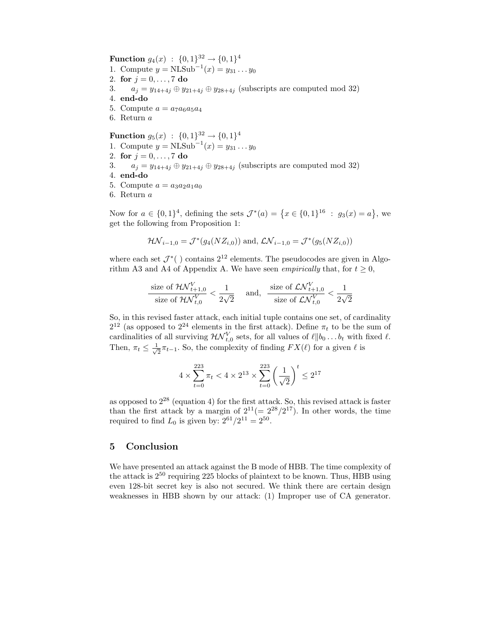**Function**  $g_4(x)$  :  $\{0, 1\}^{32} \rightarrow \{0, 1\}^4$ 1. Compute  $y = NLSub^{-1}(x) = y_{31} \dots y_0$ <br>2. for  $i = 0$  . 7 do

- 
- 2. **for**  $j = 0, ..., 7$  **do**<br>3.  $a_j = y_{14+4j} \oplus y_2$  $a_j = y_{14+4j} \oplus y_{21+4j} \oplus y_{28+4j}$  (subscripts are computed mod 32)
- 4. **end-do**
- 5. Compute  $a = a_7 a_6 a_5 a_4$
- 6. Return a

**Function**  $g_5(x) : \{0, 1\}^{32} \to \{0, 1\}^4$ 

- 1. Compute  $y = NLSub^{-1}(x) = y_{31} \dots y_0$
- 2. **for**  $j = 0, ..., 7$  **do**<br>3.  $a_j = y_{14+4j} \oplus y_2$
- $a_j = y_{14+4j} \oplus y_{21+4j} \oplus y_{28+4j}$  (subscripts are computed mod 32)
- 4. **end-do**
- 5. Compute  $a = a_3 a_2 a_1 a_0$
- 6. Return a

Now for  $a \in \{0,1\}^4$ , defining the sets  $\mathcal{J}^*(a) = \{x \in \{0,1\}^{16} : g_3(x) = a\}$ , we get the following from Proposition 1: get the following from Proposition 1:

$$
\mathcal{HN}_{i-1,0} = \mathcal{J}^*(g_4(NZ_{i,0})) \text{ and, } \mathcal{LN}_{i-1,0} = \mathcal{J}^*(g_5(NZ_{i,0}))
$$

where each set  $\mathcal{J}^*($  ) contains  $2^{12}$  elements. The pseudocodes are given in Algorithm A3 and A4 of Appendix A. We have seen *empirically* that, for  $t \geq 0$ ,

$$
\frac{\text{size of }\mathcal{HN}_{t+1,0}^V}{\text{size of }\mathcal{HN}_{t,0}^V} < \frac{1}{2\sqrt{2}} \quad \text{ and,} \quad \frac{\text{size of }\mathcal{LN}_{t+1,0}^V}{\text{size of }\mathcal{LN}_{t,0}^V} < \frac{1}{2\sqrt{2}}
$$

So, in this revised faster attack, each initial tuple contains one set, of cardinality  $2^{12}$  (as opposed to  $2^{24}$  elements in the first attack). Define  $\pi_t$  to be the sum of cardinalities of all surviving  $\mathcal{H} \mathcal{N}_{t,0}^V$  sets, for all values of  $\ell || b_0 \dots b_t$  with fixed  $\ell$ .<br>Then  $\tau \leq 1$   $\tau$  so the complexity of finding  $E[\mathbf{Y}(\ell)]$  for a given  $\ell$  is Then,  $\pi_t \leq \frac{1}{\sqrt{2}} \pi_{t-1}$ . So, the complexity of finding  $FX(\ell)$  for a given  $\ell$  is

$$
4\times \sum_{t=0}^{223} \pi_t < 4\times 2^{13}\times \sum_{t=0}^{223} \left(\frac{1}{\sqrt{2}}\right)^t \leq 2^{17}
$$

as opposed to  $2^{28}$  (equation 4) for the first attack. So, this revised attack is faster than the first attack by a margin of  $2^{11} (= 2^{28}/2^{17})$ . In other words, the time required to find  $L_0$  is given by:  $2^{61}/2^{11} = 2^{50}$ .

### **5 Conclusion**

We have presented an attack against the B mode of HBB. The time complexity of the attack is  $2^{50}$  requiring 225 blocks of plaintext to be known. Thus, HBB using even 128-bit secret key is also not secured. We think there are certain design weaknesses in HBB shown by our attack: (1) Improper use of CA generator.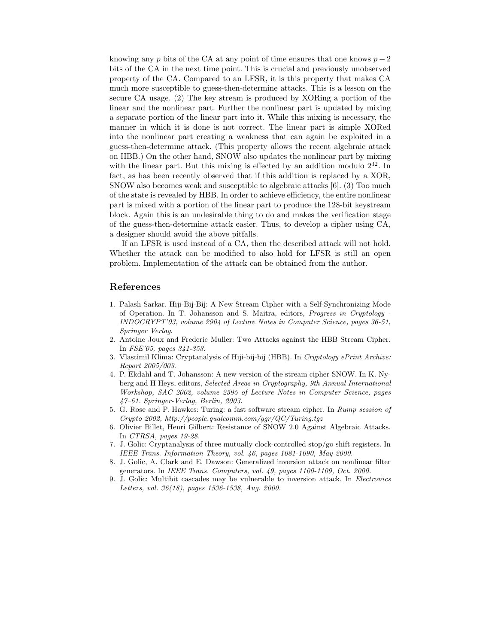knowing any p bits of the CA at any point of time ensures that one knows  $p-2$ bits of the CA in the next time point. This is crucial and previously unobserved property of the CA. Compared to an LFSR, it is this property that makes CA much more susceptible to guess-then-determine attacks. This is a lesson on the secure CA usage. (2) The key stream is produced by XORing a portion of the linear and the nonlinear part. Further the nonlinear part is updated by mixing a separate portion of the linear part into it. While this mixing is necessary, the manner in which it is done is not correct. The linear part is simple XORed into the nonlinear part creating a weakness that can again be exploited in a guess-then-determine attack. (This property allows the recent algebraic attack on HBB.) On the other hand, SNOW also updates the nonlinear part by mixing with the linear part. But this mixing is effected by an addition modulo  $2^{32}$ . In fact, as has been recently observed that if this addition is replaced by a XOR, SNOW also becomes weak and susceptible to algebraic attacks [6]. (3) Too much of the state is revealed by HBB. In order to achieve efficiency, the entire nonlinear part is mixed with a portion of the linear part to produce the 128-bit keystream block. Again this is an undesirable thing to do and makes the verification stage of the guess-then-determine attack easier. Thus, to develop a cipher using CA, a designer should avoid the above pitfalls.

If an LFSR is used instead of a CA, then the described attack will not hold. Whether the attack can be modified to also hold for LFSR is still an open problem. Implementation of the attack can be obtained from the author.

### **References**

- 1. Palash Sarkar. Hiji-Bij-Bij: A New Stream Cipher with a Self-Synchronizing Mode of Operation. In T. Johansson and S. Maitra, editors, *Progress in Cryptology - INDOCRYPT'03, volume 2904 of Lecture Notes in Computer Science, pages 36-51, Springer Verlag*.
- 2. Antoine Joux and Frederic Muller: Two Attacks against the HBB Stream Cipher. In *FSE'05, pages 341-353*.
- 3. Vlastimil Klima: Cryptanalysis of Hiji-bij-bij (HBB). In *Cryptology ePrint Archive: Report 2005/003*.
- 4. P. Ekdahl and T. Johansson: A new version of the stream cipher SNOW. In K. Nyberg and H Heys, editors, *Selected Areas in Cryptography, 9th Annual International Workshop, SAC 2002, volume 2595 of Lecture Notes in Computer Science, pages 47–61. Springer-Verlag, Berlin, 2003.*
- 5. G. Rose and P. Hawkes: Turing: a fast software stream cipher. In *Rump session of Crypto 2002, http://people.qualcomm.com/ggr/QC/Turing.tgz*
- 6. Olivier Billet, Henri Gilbert: Resistance of SNOW 2.0 Against Algebraic Attacks. In *CTRSA, pages 19-28.*
- 7. J. Golic: Cryptanalysis of three mutually clock-controlled stop/go shift registers. In *IEEE Trans. Information Theory, vol. 46, pages 1081-1090, May 2000.*
- 8. J. Golic, A. Clark and E. Dawson: Generalized inversion attack on nonlinear filter generators. In *IEEE Trans. Computers, vol. 49, pages 1100-1109, Oct. 2000.*
- 9. J. Golic: Multibit cascades may be vulnerable to inversion attack. In *Electronics Letters, vol. 36(18), pages 1536-1538, Aug. 2000.*